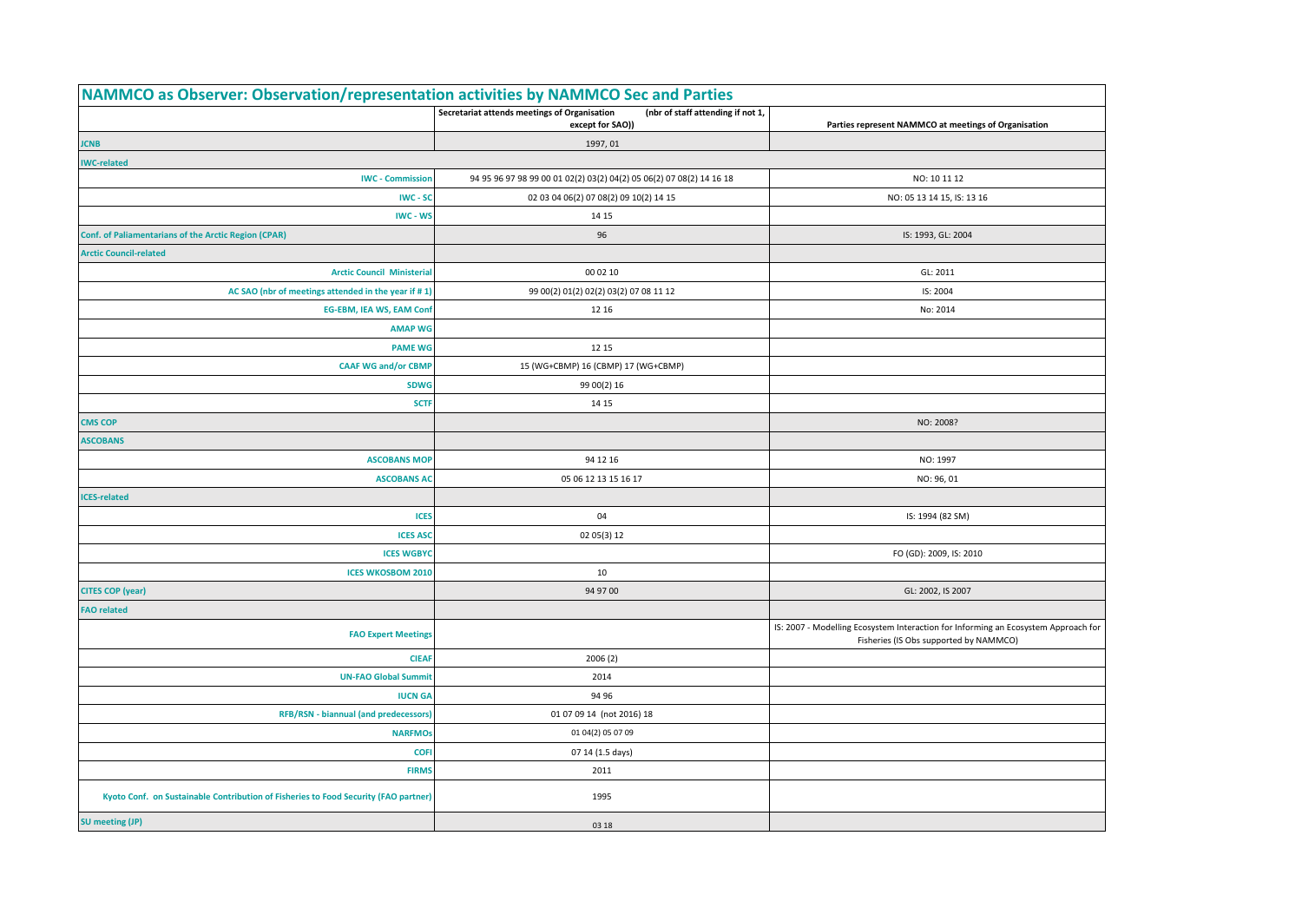| NAMMCO as Observer: Observation/representation activities by NAMMCO Sec and Parties |                                                                                                       |                                                                                                                              |
|-------------------------------------------------------------------------------------|-------------------------------------------------------------------------------------------------------|------------------------------------------------------------------------------------------------------------------------------|
|                                                                                     | Secretariat attends meetings of Organisation<br>(nbr of staff attending if not 1,<br>except for SAO)) | Parties represent NAMMCO at meetings of Organisation                                                                         |
| <b>JCNB</b>                                                                         | 1997, 01                                                                                              |                                                                                                                              |
| <b>IWC-related</b>                                                                  |                                                                                                       |                                                                                                                              |
| <b>IWC - Commission</b>                                                             | 94 95 96 97 98 99 00 01 02(2) 03(2) 04(2) 05 06(2) 07 08(2) 14 16 18                                  | NO: 10 11 12                                                                                                                 |
| IWC - SC                                                                            | 02 03 04 06(2) 07 08(2) 09 10(2) 14 15                                                                | NO: 05 13 14 15, IS: 13 16                                                                                                   |
| IWC - WS                                                                            | 14 15                                                                                                 |                                                                                                                              |
| <b>Conf. of Paliamentarians of the Arctic Region (CPAR)</b>                         | 96                                                                                                    | IS: 1993, GL: 2004                                                                                                           |
| <b>Arctic Council-related</b>                                                       |                                                                                                       |                                                                                                                              |
| <b>Arctic Council Ministerial</b>                                                   | 00 02 10                                                                                              | GL: 2011                                                                                                                     |
| AC SAO (nbr of meetings attended in the year if #1)                                 | 99 00(2) 01(2) 02(2) 03(2) 07 08 11 12                                                                | IS: 2004                                                                                                                     |
| <b>EG-EBM, IEA WS, EAM Conf</b>                                                     | 12 16                                                                                                 | No: 2014                                                                                                                     |
| <b>AMAP WG</b>                                                                      |                                                                                                       |                                                                                                                              |
| <b>PAME WG</b>                                                                      | 12 15                                                                                                 |                                                                                                                              |
| <b>CAAF WG and/or CBMP</b>                                                          | 15 (WG+CBMP) 16 (CBMP) 17 (WG+CBMP)                                                                   |                                                                                                                              |
| <b>SDWG</b>                                                                         | 99 00(2) 16                                                                                           |                                                                                                                              |
| <b>SCTF</b>                                                                         | 14 15                                                                                                 |                                                                                                                              |
| <b>CMS COP</b>                                                                      |                                                                                                       | NO: 2008?                                                                                                                    |
| <b>ASCOBANS</b>                                                                     |                                                                                                       |                                                                                                                              |
| <b>ASCOBANS MOP</b>                                                                 | 94 12 16                                                                                              | NO: 1997                                                                                                                     |
| <b>ASCOBANS AC</b>                                                                  | 05 06 12 13 15 16 17                                                                                  | NO: 96, 01                                                                                                                   |
| <b>CES-related</b>                                                                  |                                                                                                       |                                                                                                                              |
| <b>ICES</b>                                                                         | 04                                                                                                    | IS: 1994 (82 SM)                                                                                                             |
| <b>ICES ASC</b>                                                                     | 02 05(3) 12                                                                                           |                                                                                                                              |
| <b>ICES WGBYC</b>                                                                   |                                                                                                       | FO (GD): 2009, IS: 2010                                                                                                      |
| <b>ICES WKOSBOM 2010</b>                                                            | 10                                                                                                    |                                                                                                                              |
| <b>CITES COP (year)</b>                                                             | 94 97 00                                                                                              | GL: 2002, IS 2007                                                                                                            |
| <b>FAO related</b>                                                                  |                                                                                                       |                                                                                                                              |
| <b>FAO Expert Meetings</b>                                                          |                                                                                                       | IS: 2007 - Modelling Ecosystem Interaction for Informing an Ecosystem Approach for<br>Fisheries (IS Obs supported by NAMMCO) |
| <b>CIEA</b>                                                                         | 2006(2)                                                                                               |                                                                                                                              |
| <b>UN-FAO Global Summit</b>                                                         | 2014                                                                                                  |                                                                                                                              |
| <b>IUCN GA</b>                                                                      | 94 96                                                                                                 |                                                                                                                              |
| <b>RFB/RSN - biannual (and predecessors)</b>                                        | 01 07 09 14 (not 2016) 18                                                                             |                                                                                                                              |
| <b>NARFMOS</b>                                                                      | 01 04(2) 05 07 09                                                                                     |                                                                                                                              |
| <b>COFI</b>                                                                         | 07 14 (1.5 days)                                                                                      |                                                                                                                              |
| <b>FIRMS</b>                                                                        | 2011                                                                                                  |                                                                                                                              |
| Kyoto Conf. on Sustainable Contribution of Fisheries to Food Security (FAO partner) | 1995                                                                                                  |                                                                                                                              |
| <b>SU</b> meeting (JP)                                                              | 03 18                                                                                                 |                                                                                                                              |